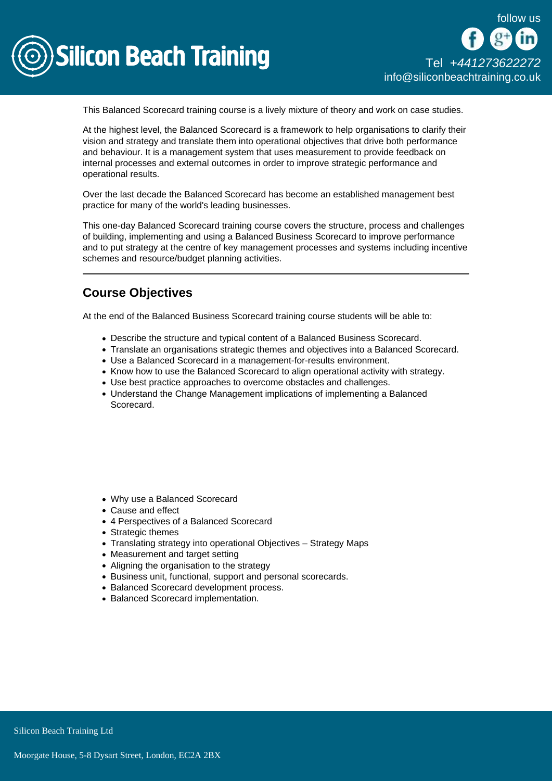

This Balanced Scorecard training course is a lively mixture of theory and work on case studies.

At the highest level, the Balanced Scorecard is a framework to help organisations to clarify their vision and strategy and translate them into operational objectives that drive both performance and behaviour. It is a management system that uses measurement to provide feedback on internal processes and external outcomes in order to improve strategic performance and operational results.

Over the last decade the Balanced Scorecard has become an established management best practice for many of the world's leading businesses.

This one-day Balanced Scorecard training course covers the structure, process and challenges of building, implementing and using a Balanced Business Scorecard to improve performance and to put strategy at the centre of key management processes and systems including incentive schemes and resource/budget planning activities.

## Course Objectives

At the end of the Balanced Business Scorecard training course students will be able to:

- Describe the structure and typical content of a Balanced Business Scorecard.
- Translate an organisations strategic themes and objectives into a Balanced Scorecard.
- Use a Balanced Scorecard in a management-for-results environment.
- Know how to use the Balanced Scorecard to align operational activity with strategy.
- Use best practice approaches to overcome obstacles and challenges.
- Understand the Change Management implications of implementing a Balanced Scorecard.

- Why use a Balanced Scorecard
- Cause and effect
- 4 Perspectives of a Balanced Scorecard
- Strategic themes
- Translating strategy into operational Objectives Strategy Maps
- Measurement and target setting
- Aligning the organisation to the strategy
- Business unit, functional, support and personal scorecards.
- Balanced Scorecard development process.
- Balanced Scorecard implementation.